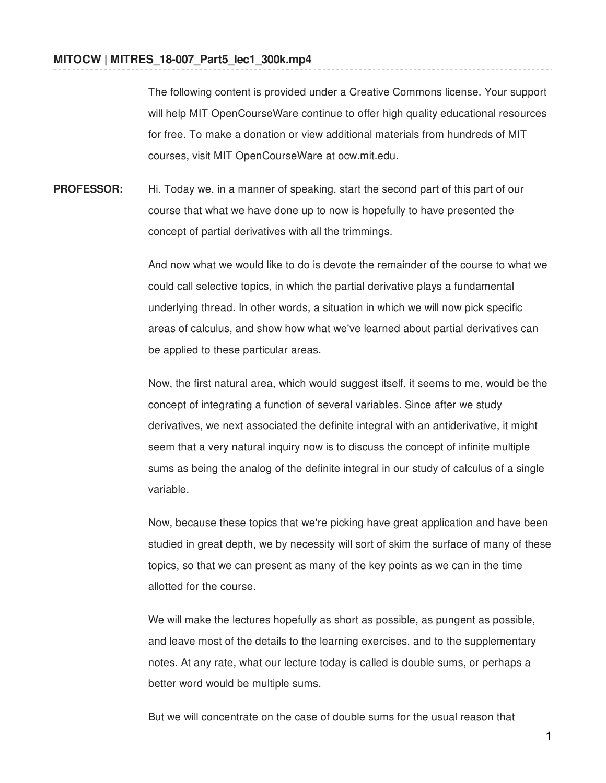The following content is provided under a Creative Commons license. Your support will help MIT OpenCourseWare continue to offer high quality educational resources for free. To make a donation or view additional materials from hundreds of MIT courses, visit MIT OpenCourseWare at ocw.mit.edu.

**PROFESSOR:** Hi. Today we, in a manner of speaking, start the second part of this part of our course that what we have done up to now is hopefully to have presented the concept of partial derivatives with all the trimmings.

> And now what we would like to do is devote the remainder of the course to what we could call selective topics, in which the partial derivative plays a fundamental underlying thread. In other words, a situation in which we will now pick specific areas of calculus, and show how what we've learned about partial derivatives can be applied to these particular areas.

> Now, the first natural area, which would suggest itself, it seems to me, would be the concept of integrating a function of several variables. Since after we study derivatives, we next associated the definite integral with an antiderivative, it might seem that a very natural inquiry now is to discuss the concept of infinite multiple sums as being the analog of the definite integral in our study of calculus of a single variable.

> Now, because these topics that we're picking have great application and have been studied in great depth, we by necessity will sort of skim the surface of many of these topics, so that we can present as many of the key points as we can in the time allotted for the course.

We will make the lectures hopefully as short as possible, as pungent as possible, and leave most of the details to the learning exercises, and to the supplementary notes. At any rate, what our lecture today is called is double sums, or perhaps a better word would be multiple sums.

But we will concentrate on the case of double sums for the usual reason that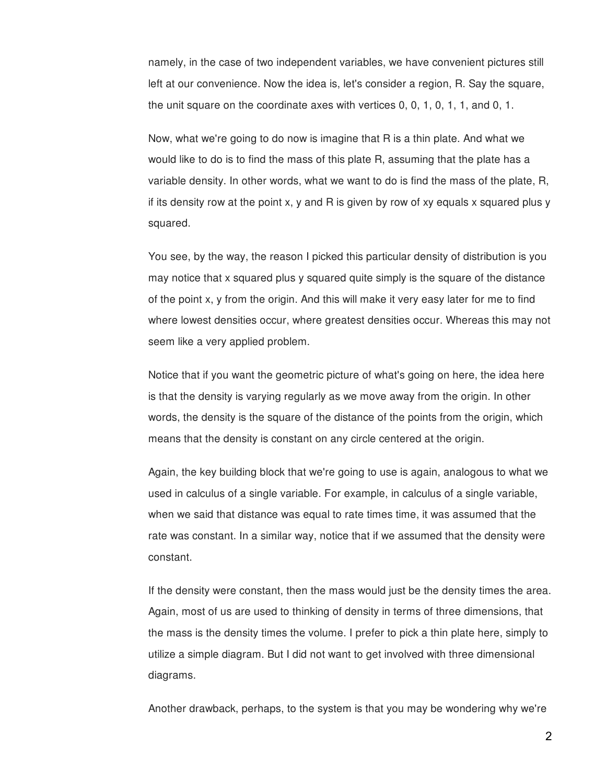namely, in the case of two independent variables, we have convenient pictures still left at our convenience. Now the idea is, let's consider a region, R. Say the square, the unit square on the coordinate axes with vertices 0, 0, 1, 0, 1, 1, and 0, 1.

Now, what we're going to do now is imagine that R is a thin plate. And what we would like to do is to find the mass of this plate R, assuming that the plate has a variable density. In other words, what we want to do is find the mass of the plate, R, if its density row at the point x, y and R is given by row of xy equals x squared plus y squared.

You see, by the way, the reason I picked this particular density of distribution is you may notice that x squared plus y squared quite simply is the square of the distance of the point x, y from the origin. And this will make it very easy later for me to find where lowest densities occur, where greatest densities occur. Whereas this may not seem like a very applied problem.

Notice that if you want the geometric picture of what's going on here, the idea here is that the density is varying regularly as we move away from the origin. In other words, the density is the square of the distance of the points from the origin, which means that the density is constant on any circle centered at the origin.

Again, the key building block that we're going to use is again, analogous to what we used in calculus of a single variable. For example, in calculus of a single variable, when we said that distance was equal to rate times time, it was assumed that the rate was constant. In a similar way, notice that if we assumed that the density were constant.

If the density were constant, then the mass would just be the density times the area. Again, most of us are used to thinking of density in terms of three dimensions, that the mass is the density times the volume. I prefer to pick a thin plate here, simply to utilize a simple diagram. But I did not want to get involved with three dimensional diagrams.

Another drawback, perhaps, to the system is that you may be wondering why we're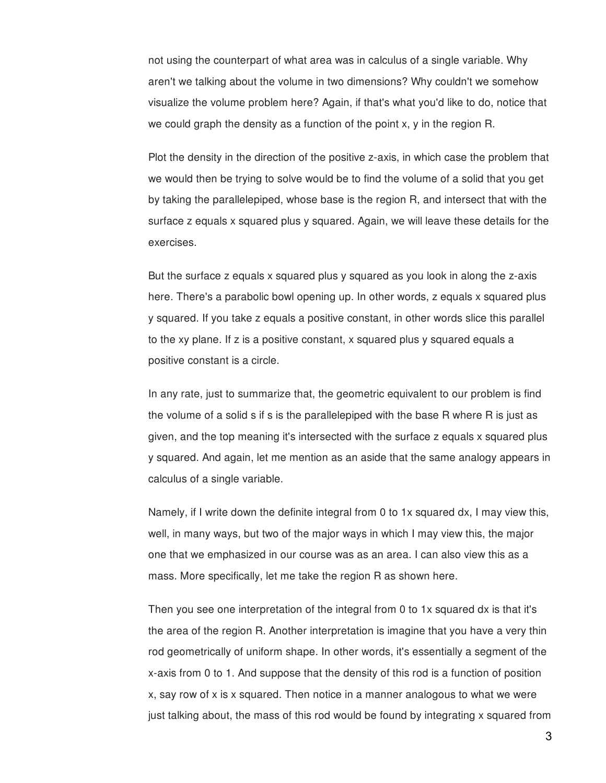not using the counterpart of what area was in calculus of a single variable. Why aren't we talking about the volume in two dimensions? Why couldn't we somehow visualize the volume problem here? Again, if that's what you'd like to do, notice that we could graph the density as a function of the point x, y in the region R.

Plot the density in the direction of the positive z-axis, in which case the problem that we would then be trying to solve would be to find the volume of a solid that you get by taking the parallelepiped, whose base is the region R, and intersect that with the surface z equals x squared plus y squared. Again, we will leave these details for the exercises.

But the surface z equals x squared plus y squared as you look in along the z-axis here. There's a parabolic bowl opening up. In other words, z equals x squared plus y squared. If you take z equals a positive constant, in other words slice this parallel to the xy plane. If z is a positive constant, x squared plus y squared equals a positive constant is a circle.

In any rate, just to summarize that, the geometric equivalent to our problem is find the volume of a solid s if s is the parallelepiped with the base R where R is just as given, and the top meaning it's intersected with the surface z equals x squared plus y squared. And again, let me mention as an aside that the same analogy appears in calculus of a single variable.

Namely, if I write down the definite integral from 0 to 1x squared dx, I may view this, well, in many ways, but two of the major ways in which I may view this, the major one that we emphasized in our course was as an area. I can also view this as a mass. More specifically, let me take the region R as shown here.

Then you see one interpretation of the integral from 0 to 1x squared dx is that it's the area of the region R. Another interpretation is imagine that you have a very thin rod geometrically of uniform shape. In other words, it's essentially a segment of the x-axis from 0 to 1. And suppose that the density of this rod is a function of position x, say row of x is x squared. Then notice in a manner analogous to what we were just talking about, the mass of this rod would be found by integrating x squared from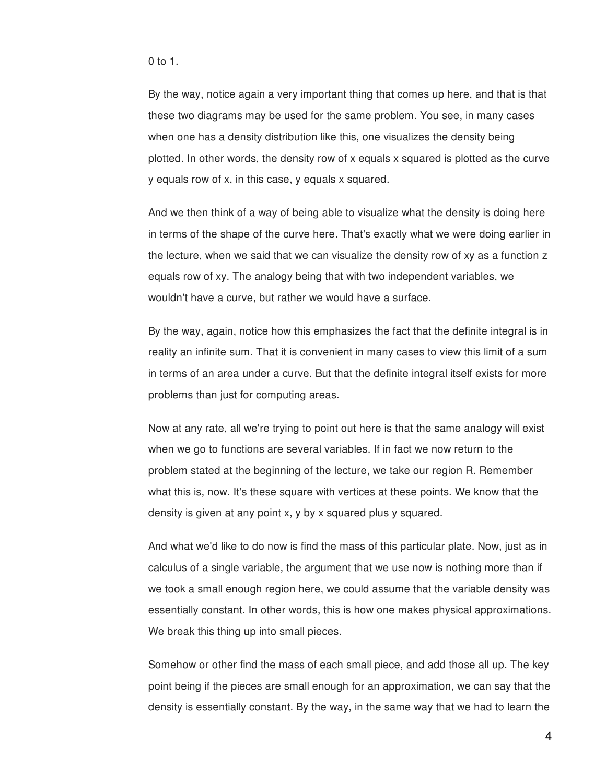0 to 1.

By the way, notice again a very important thing that comes up here, and that is that these two diagrams may be used for the same problem. You see, in many cases when one has a density distribution like this, one visualizes the density being plotted. In other words, the density row of x equals x squared is plotted as the curve y equals row of x, in this case, y equals x squared.

And we then think of a way of being able to visualize what the density is doing here in terms of the shape of the curve here. That's exactly what we were doing earlier in the lecture, when we said that we can visualize the density row of xy as a function z equals row of xy. The analogy being that with two independent variables, we wouldn't have a curve, but rather we would have a surface.

By the way, again, notice how this emphasizes the fact that the definite integral is in reality an infinite sum. That it is convenient in many cases to view this limit of a sum in terms of an area under a curve. But that the definite integral itself exists for more problems than just for computing areas.

Now at any rate, all we're trying to point out here is that the same analogy will exist when we go to functions are several variables. If in fact we now return to the problem stated at the beginning of the lecture, we take our region R. Remember what this is, now. It's these square with vertices at these points. We know that the density is given at any point x, y by x squared plus y squared.

And what we'd like to do now is find the mass of this particular plate. Now, just as in calculus of a single variable, the argument that we use now is nothing more than if we took a small enough region here, we could assume that the variable density was essentially constant. In other words, this is how one makes physical approximations. We break this thing up into small pieces.

Somehow or other find the mass of each small piece, and add those all up. The key point being if the pieces are small enough for an approximation, we can say that the density is essentially constant. By the way, in the same way that we had to learn the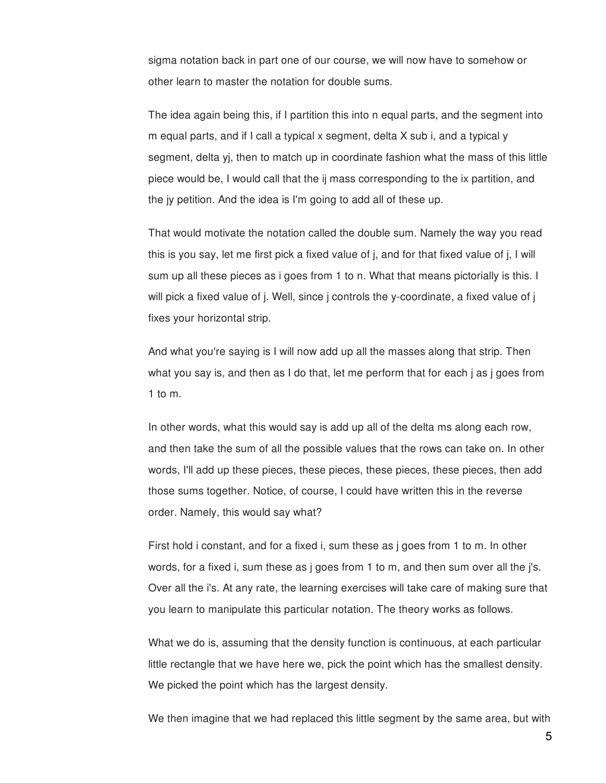sigma notation back in part one of our course, we will now have to somehow or other learn to master the notation for double sums.

The idea again being this, if I partition this into n equal parts, and the segment into m equal parts, and if I call a typical x segment, delta X sub i, and a typical y segment, delta yj, then to match up in coordinate fashion what the mass of this little piece would be, I would call that the ij mass corresponding to the ix partition, and the jy petition. And the idea is I'm going to add all of these up.

That would motivate the notation called the double sum. Namely the way you read this is you say, let me first pick a fixed value of j, and for that fixed value of j, I will sum up all these pieces as i goes from 1 to n. What that means pictorially is this. I will pick a fixed value of j. Well, since j controls the y-coordinate, a fixed value of j fixes your horizontal strip.

And what you're saying is I will now add up all the masses along that strip. Then what you say is, and then as I do that, let me perform that for each j as j goes from 1 to m.

In other words, what this would say is add up all of the delta ms along each row, and then take the sum of all the possible values that the rows can take on. In other words, I'll add up these pieces, these pieces, these pieces, these pieces, then add those sums together. Notice, of course, I could have written this in the reverse order. Namely, this would say what?

First hold i constant, and for a fixed i, sum these as j goes from 1 to m. In other words, for a fixed i, sum these as j goes from 1 to m, and then sum over all the j's. Over all the i's. At any rate, the learning exercises will take care of making sure that you learn to manipulate this particular notation. The theory works as follows.

What we do is, assuming that the density function is continuous, at each particular little rectangle that we have here we, pick the point which has the smallest density. We picked the point which has the largest density.

We then imagine that we had replaced this little segment by the same area, but with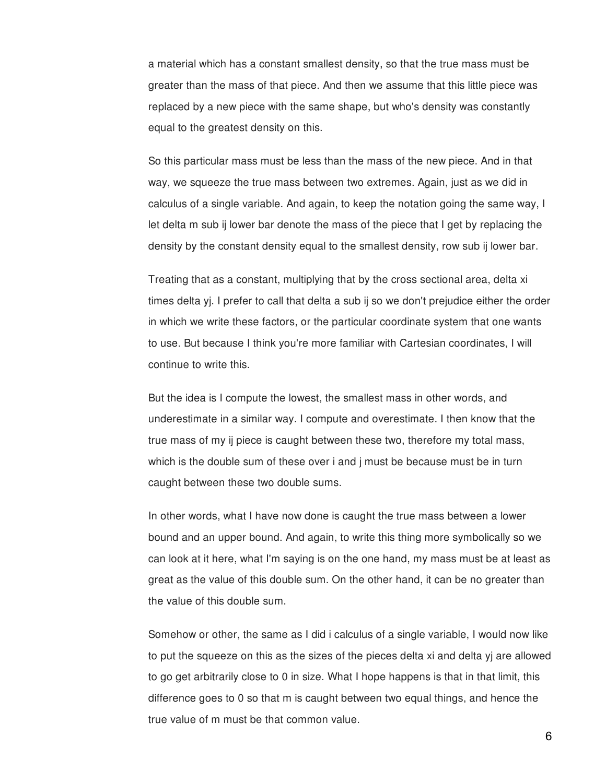a material which has a constant smallest density, so that the true mass must be greater than the mass of that piece. And then we assume that this little piece was replaced by a new piece with the same shape, but who's density was constantly equal to the greatest density on this.

So this particular mass must be less than the mass of the new piece. And in that way, we squeeze the true mass between two extremes. Again, just as we did in calculus of a single variable. And again, to keep the notation going the same way, I let delta m sub ij lower bar denote the mass of the piece that I get by replacing the density by the constant density equal to the smallest density, row sub ij lower bar.

Treating that as a constant, multiplying that by the cross sectional area, delta xi times delta yj. I prefer to call that delta a sub ij so we don't prejudice either the order in which we write these factors, or the particular coordinate system that one wants to use. But because I think you're more familiar with Cartesian coordinates, I will continue to write this.

But the idea is I compute the lowest, the smallest mass in other words, and underestimate in a similar way. I compute and overestimate. I then know that the true mass of my ij piece is caught between these two, therefore my total mass, which is the double sum of these over i and j must be because must be in turn caught between these two double sums.

In other words, what I have now done is caught the true mass between a lower bound and an upper bound. And again, to write this thing more symbolically so we can look at it here, what I'm saying is on the one hand, my mass must be at least as great as the value of this double sum. On the other hand, it can be no greater than the value of this double sum.

Somehow or other, the same as I did i calculus of a single variable, I would now like to put the squeeze on this as the sizes of the pieces delta xi and delta yj are allowed to go get arbitrarily close to 0 in size. What I hope happens is that in that limit, this difference goes to 0 so that m is caught between two equal things, and hence the true value of m must be that common value.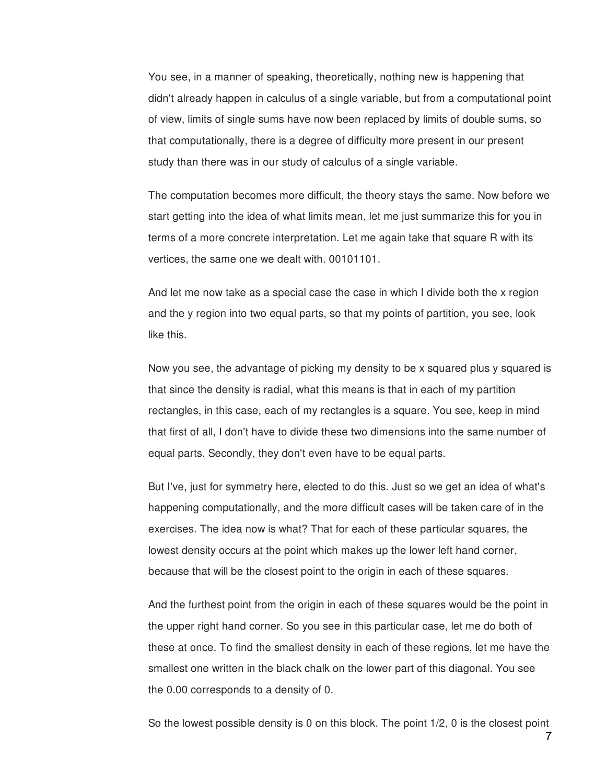You see, in a manner of speaking, theoretically, nothing new is happening that didn't already happen in calculus of a single variable, but from a computational point of view, limits of single sums have now been replaced by limits of double sums, so that computationally, there is a degree of difficulty more present in our present study than there was in our study of calculus of a single variable.

The computation becomes more difficult, the theory stays the same. Now before we start getting into the idea of what limits mean, let me just summarize this for you in terms of a more concrete interpretation. Let me again take that square R with its vertices, the same one we dealt with. 00101101.

And let me now take as a special case the case in which I divide both the x region and the y region into two equal parts, so that my points of partition, you see, look like this.

Now you see, the advantage of picking my density to be x squared plus y squared is that since the density is radial, what this means is that in each of my partition rectangles, in this case, each of my rectangles is a square. You see, keep in mind that first of all, I don't have to divide these two dimensions into the same number of equal parts. Secondly, they don't even have to be equal parts.

But I've, just for symmetry here, elected to do this. Just so we get an idea of what's happening computationally, and the more difficult cases will be taken care of in the exercises. The idea now is what? That for each of these particular squares, the lowest density occurs at the point which makes up the lower left hand corner, because that will be the closest point to the origin in each of these squares.

And the furthest point from the origin in each of these squares would be the point in the upper right hand corner. So you see in this particular case, let me do both of these at once. To find the smallest density in each of these regions, let me have the smallest one written in the black chalk on the lower part of this diagonal. You see the 0.00 corresponds to a density of 0.

So the lowest possible density is 0 on this block. The point 1/2, 0 is the closest point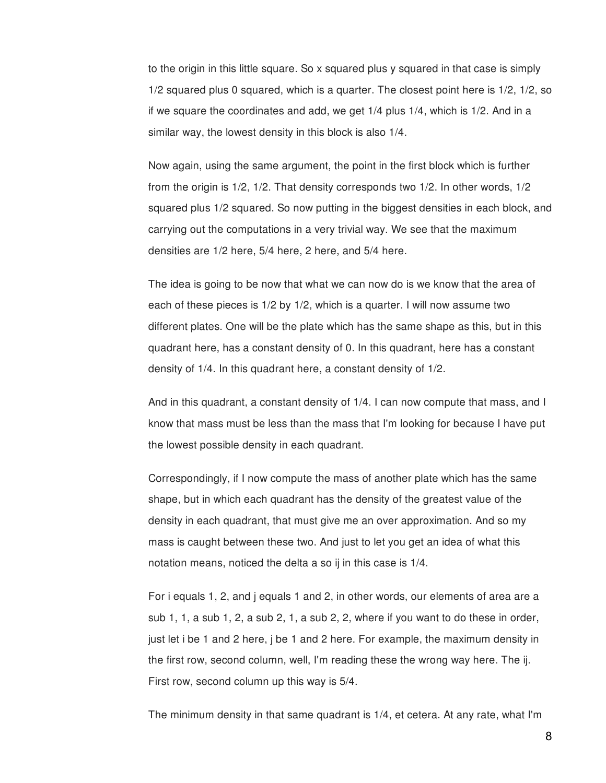to the origin in this little square. So x squared plus y squared in that case is simply 1/2 squared plus 0 squared, which is a quarter. The closest point here is 1/2, 1/2, so if we square the coordinates and add, we get 1/4 plus 1/4, which is 1/2. And in a similar way, the lowest density in this block is also 1/4.

Now again, using the same argument, the point in the first block which is further from the origin is 1/2, 1/2. That density corresponds two 1/2. In other words, 1/2 squared plus 1/2 squared. So now putting in the biggest densities in each block, and carrying out the computations in a very trivial way. We see that the maximum densities are 1/2 here, 5/4 here, 2 here, and 5/4 here.

The idea is going to be now that what we can now do is we know that the area of each of these pieces is 1/2 by 1/2, which is a quarter. I will now assume two different plates. One will be the plate which has the same shape as this, but in this quadrant here, has a constant density of 0. In this quadrant, here has a constant density of 1/4. In this quadrant here, a constant density of 1/2.

And in this quadrant, a constant density of 1/4. I can now compute that mass, and I know that mass must be less than the mass that I'm looking for because I have put the lowest possible density in each quadrant.

Correspondingly, if I now compute the mass of another plate which has the same shape, but in which each quadrant has the density of the greatest value of the density in each quadrant, that must give me an over approximation. And so my mass is caught between these two. And just to let you get an idea of what this notation means, noticed the delta a so ij in this case is 1/4.

For i equals 1, 2, and j equals 1 and 2, in other words, our elements of area are a sub 1, 1, a sub 1, 2, a sub 2, 1, a sub 2, 2, where if you want to do these in order, just let i be 1 and 2 here, j be 1 and 2 here. For example, the maximum density in the first row, second column, well, I'm reading these the wrong way here. The ij. First row, second column up this way is 5/4.

The minimum density in that same quadrant is 1/4, et cetera. At any rate, what I'm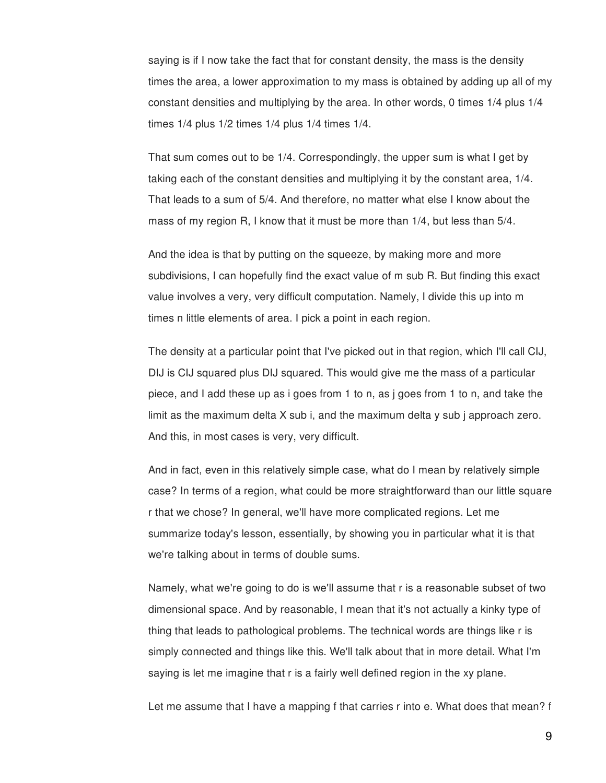saying is if I now take the fact that for constant density, the mass is the density times the area, a lower approximation to my mass is obtained by adding up all of my constant densities and multiplying by the area. In other words, 0 times 1/4 plus 1/4 times 1/4 plus 1/2 times 1/4 plus 1/4 times 1/4.

That sum comes out to be 1/4. Correspondingly, the upper sum is what I get by taking each of the constant densities and multiplying it by the constant area, 1/4. That leads to a sum of 5/4. And therefore, no matter what else I know about the mass of my region R, I know that it must be more than 1/4, but less than 5/4.

And the idea is that by putting on the squeeze, by making more and more subdivisions, I can hopefully find the exact value of m sub R. But finding this exact value involves a very, very difficult computation. Namely, I divide this up into m times n little elements of area. I pick a point in each region.

The density at a particular point that I've picked out in that region, which I'll call CIJ, DIJ is CIJ squared plus DIJ squared. This would give me the mass of a particular piece, and I add these up as i goes from 1 to n, as j goes from 1 to n, and take the limit as the maximum delta X sub i, and the maximum delta y sub j approach zero. And this, in most cases is very, very difficult.

And in fact, even in this relatively simple case, what do I mean by relatively simple case? In terms of a region, what could be more straightforward than our little square r that we chose? In general, we'll have more complicated regions. Let me summarize today's lesson, essentially, by showing you in particular what it is that we're talking about in terms of double sums.

Namely, what we're going to do is we'll assume that r is a reasonable subset of two dimensional space. And by reasonable, I mean that it's not actually a kinky type of thing that leads to pathological problems. The technical words are things like r is simply connected and things like this. We'll talk about that in more detail. What I'm saying is let me imagine that r is a fairly well defined region in the xy plane.

Let me assume that I have a mapping f that carries r into e. What does that mean? f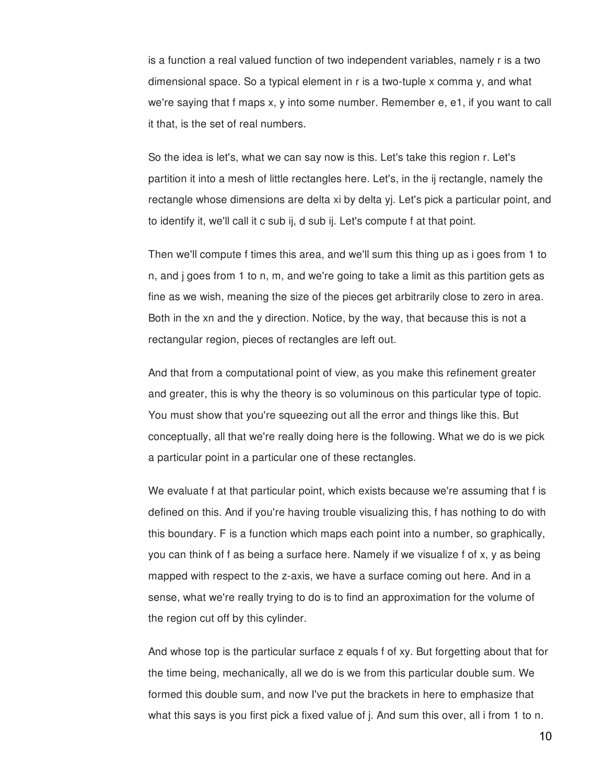is a function a real valued function of two independent variables, namely r is a two dimensional space. So a typical element in r is a two-tuple x comma y, and what we're saying that f maps x, y into some number. Remember e, e1, if you want to call it that, is the set of real numbers.

So the idea is let's, what we can say now is this. Let's take this region r. Let's partition it into a mesh of little rectangles here. Let's, in the ij rectangle, namely the rectangle whose dimensions are delta xi by delta yj. Let's pick a particular point, and to identify it, we'll call it c sub ij, d sub ij. Let's compute f at that point.

Then we'll compute f times this area, and we'll sum this thing up as i goes from 1 to n, and j goes from 1 to n, m, and we're going to take a limit as this partition gets as fine as we wish, meaning the size of the pieces get arbitrarily close to zero in area. Both in the xn and the y direction. Notice, by the way, that because this is not a rectangular region, pieces of rectangles are left out.

And that from a computational point of view, as you make this refinement greater and greater, this is why the theory is so voluminous on this particular type of topic. You must show that you're squeezing out all the error and things like this. But conceptually, all that we're really doing here is the following. What we do is we pick a particular point in a particular one of these rectangles.

We evaluate f at that particular point, which exists because we're assuming that f is defined on this. And if you're having trouble visualizing this, f has nothing to do with this boundary. F is a function which maps each point into a number, so graphically, you can think of f as being a surface here. Namely if we visualize f of x, y as being mapped with respect to the z-axis, we have a surface coming out here. And in a sense, what we're really trying to do is to find an approximation for the volume of the region cut off by this cylinder.

And whose top is the particular surface z equals f of xy. But forgetting about that for the time being, mechanically, all we do is we from this particular double sum. We formed this double sum, and now I've put the brackets in here to emphasize that what this says is you first pick a fixed value of j. And sum this over, all i from 1 to n.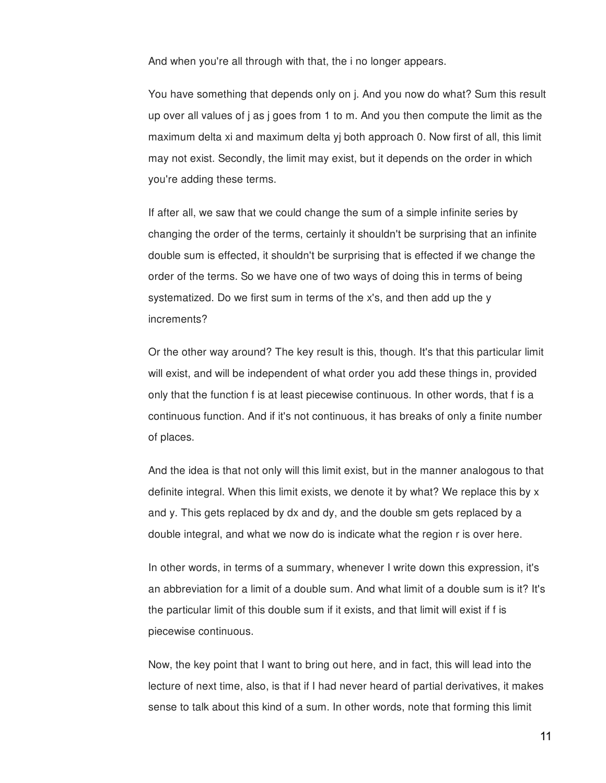And when you're all through with that, the i no longer appears.

You have something that depends only on j. And you now do what? Sum this result up over all values of j as j goes from 1 to m. And you then compute the limit as the maximum delta xi and maximum delta yj both approach 0. Now first of all, this limit may not exist. Secondly, the limit may exist, but it depends on the order in which you're adding these terms.

If after all, we saw that we could change the sum of a simple infinite series by changing the order of the terms, certainly it shouldn't be surprising that an infinite double sum is effected, it shouldn't be surprising that is effected if we change the order of the terms. So we have one of two ways of doing this in terms of being systematized. Do we first sum in terms of the x's, and then add up the y increments?

Or the other way around? The key result is this, though. It's that this particular limit will exist, and will be independent of what order you add these things in, provided only that the function f is at least piecewise continuous. In other words, that f is a continuous function. And if it's not continuous, it has breaks of only a finite number of places.

And the idea is that not only will this limit exist, but in the manner analogous to that definite integral. When this limit exists, we denote it by what? We replace this by x and y. This gets replaced by dx and dy, and the double sm gets replaced by a double integral, and what we now do is indicate what the region r is over here.

In other words, in terms of a summary, whenever I write down this expression, it's an abbreviation for a limit of a double sum. And what limit of a double sum is it? It's the particular limit of this double sum if it exists, and that limit will exist if f is piecewise continuous.

Now, the key point that I want to bring out here, and in fact, this will lead into the lecture of next time, also, is that if I had never heard of partial derivatives, it makes sense to talk about this kind of a sum. In other words, note that forming this limit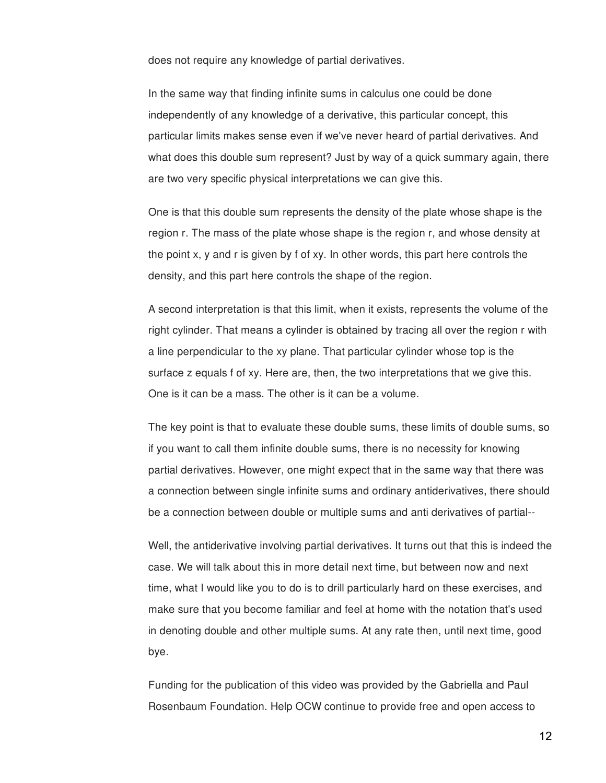does not require any knowledge of partial derivatives.

In the same way that finding infinite sums in calculus one could be done independently of any knowledge of a derivative, this particular concept, this particular limits makes sense even if we've never heard of partial derivatives. And what does this double sum represent? Just by way of a quick summary again, there are two very specific physical interpretations we can give this.

One is that this double sum represents the density of the plate whose shape is the region r. The mass of the plate whose shape is the region r, and whose density at the point x, y and r is given by f of xy. In other words, this part here controls the density, and this part here controls the shape of the region.

A second interpretation is that this limit, when it exists, represents the volume of the right cylinder. That means a cylinder is obtained by tracing all over the region r with a line perpendicular to the xy plane. That particular cylinder whose top is the surface z equals f of xy. Here are, then, the two interpretations that we give this. One is it can be a mass. The other is it can be a volume.

The key point is that to evaluate these double sums, these limits of double sums, so if you want to call them infinite double sums, there is no necessity for knowing partial derivatives. However, one might expect that in the same way that there was a connection between single infinite sums and ordinary antiderivatives, there should be a connection between double or multiple sums and anti derivatives of partial--

Well, the antiderivative involving partial derivatives. It turns out that this is indeed the case. We will talk about this in more detail next time, but between now and next time, what I would like you to do is to drill particularly hard on these exercises, and make sure that you become familiar and feel at home with the notation that's used in denoting double and other multiple sums. At any rate then, until next time, good bye.

Funding for the publication of this video was provided by the Gabriella and Paul Rosenbaum Foundation. Help OCW continue to provide free and open access to